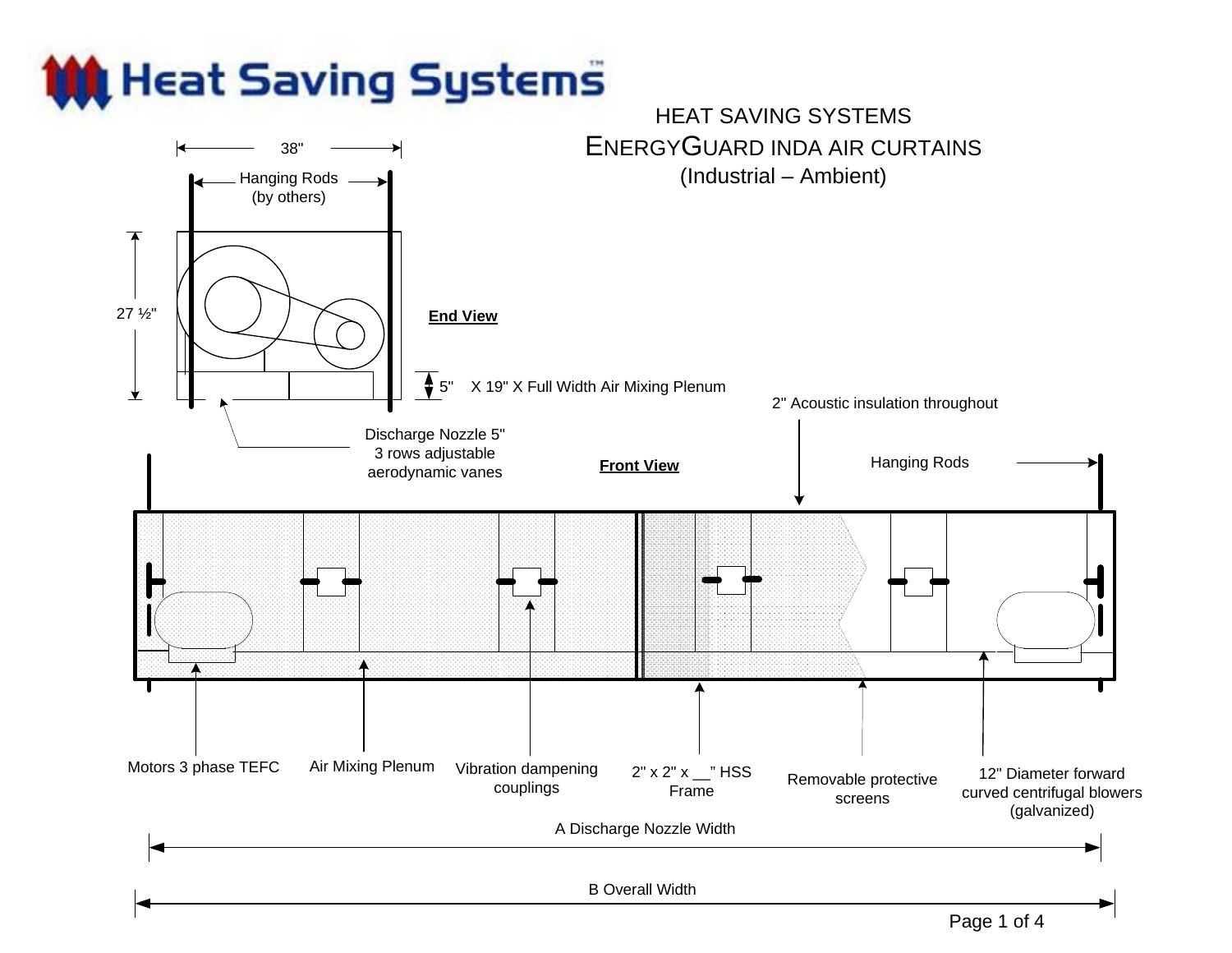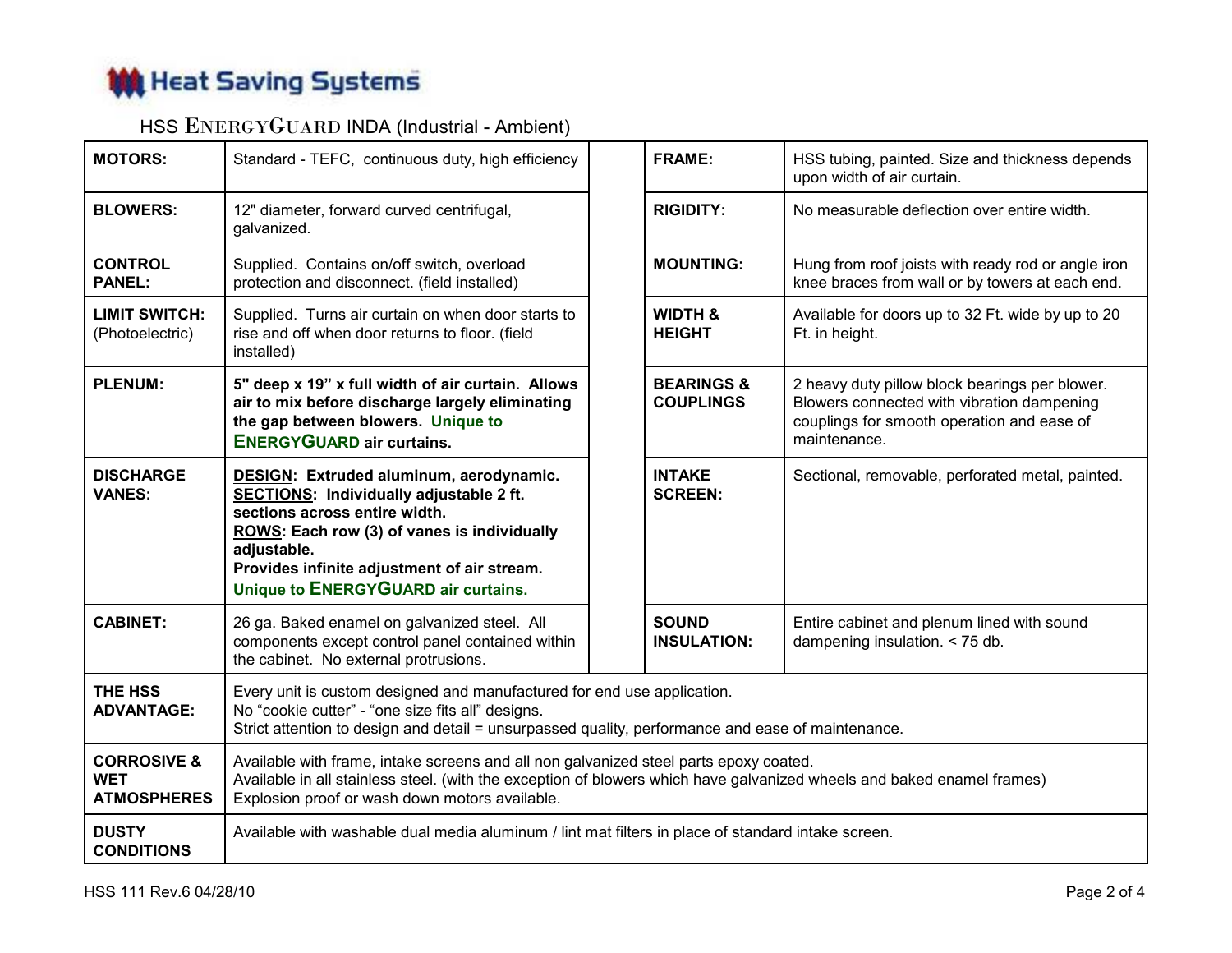

## HSS ENERGYGUARD INDA (Industrial - Ambient)

| <b>MOTORS:</b>                                             | Standard - TEFC, continuous duty, high efficiency                                                                                                                                                                                                                              |  | <b>FRAME:</b>                             | HSS tubing, painted. Size and thickness depends<br>upon width of air curtain.                                                                              |  |  |  |  |  |  |  |
|------------------------------------------------------------|--------------------------------------------------------------------------------------------------------------------------------------------------------------------------------------------------------------------------------------------------------------------------------|--|-------------------------------------------|------------------------------------------------------------------------------------------------------------------------------------------------------------|--|--|--|--|--|--|--|
| <b>BLOWERS:</b>                                            | 12" diameter, forward curved centrifugal,<br>galvanized.                                                                                                                                                                                                                       |  | <b>RIGIDITY:</b>                          | No measurable deflection over entire width.                                                                                                                |  |  |  |  |  |  |  |
| <b>CONTROL</b><br><b>PANEL:</b>                            | Supplied. Contains on/off switch, overload<br>protection and disconnect. (field installed)                                                                                                                                                                                     |  | <b>MOUNTING:</b>                          | Hung from roof joists with ready rod or angle iron<br>knee braces from wall or by towers at each end.                                                      |  |  |  |  |  |  |  |
| <b>LIMIT SWITCH:</b><br>(Photoelectric)                    | Supplied. Turns air curtain on when door starts to<br>rise and off when door returns to floor. (field<br>installed)                                                                                                                                                            |  | <b>WIDTH &amp;</b><br><b>HEIGHT</b>       | Available for doors up to 32 Ft. wide by up to 20<br>Ft. in height.                                                                                        |  |  |  |  |  |  |  |
| <b>PLENUM:</b>                                             | 5" deep x 19" x full width of air curtain. Allows<br>air to mix before discharge largely eliminating<br>the gap between blowers. Unique to<br><b>ENERGYGUARD air curtains.</b>                                                                                                 |  | <b>BEARINGS &amp;</b><br><b>COUPLINGS</b> | 2 heavy duty pillow block bearings per blower.<br>Blowers connected with vibration dampening<br>couplings for smooth operation and ease of<br>maintenance. |  |  |  |  |  |  |  |
| <b>DISCHARGE</b><br><b>VANES:</b>                          | <b>DESIGN: Extruded aluminum, aerodynamic.</b><br>SECTIONS: Individually adjustable 2 ft.<br>sections across entire width.<br>ROWS: Each row (3) of vanes is individually<br>adjustable.<br>Provides infinite adjustment of air stream.<br>Unique to ENERGYGUARD air curtains. |  | <b>INTAKE</b><br><b>SCREEN:</b>           | Sectional, removable, perforated metal, painted.                                                                                                           |  |  |  |  |  |  |  |
| <b>CABINET:</b>                                            | 26 ga. Baked enamel on galvanized steel. All<br>components except control panel contained within<br>the cabinet. No external protrusions.                                                                                                                                      |  | <b>SOUND</b><br><b>INSULATION:</b>        | Entire cabinet and plenum lined with sound<br>dampening insulation. < 75 db.                                                                               |  |  |  |  |  |  |  |
| THE HSS<br><b>ADVANTAGE:</b>                               | Every unit is custom designed and manufactured for end use application.<br>No "cookie cutter" - "one size fits all" designs.<br>Strict attention to design and detail = unsurpassed quality, performance and ease of maintenance.                                              |  |                                           |                                                                                                                                                            |  |  |  |  |  |  |  |
| <b>CORROSIVE &amp;</b><br><b>WET</b><br><b>ATMOSPHERES</b> | Available with frame, intake screens and all non galvanized steel parts epoxy coated.<br>Available in all stainless steel. (with the exception of blowers which have galvanized wheels and baked enamel frames)<br>Explosion proof or wash down motors available.              |  |                                           |                                                                                                                                                            |  |  |  |  |  |  |  |
| <b>DUSTY</b><br><b>CONDITIONS</b>                          | Available with washable dual media aluminum / lint mat filters in place of standard intake screen.                                                                                                                                                                             |  |                                           |                                                                                                                                                            |  |  |  |  |  |  |  |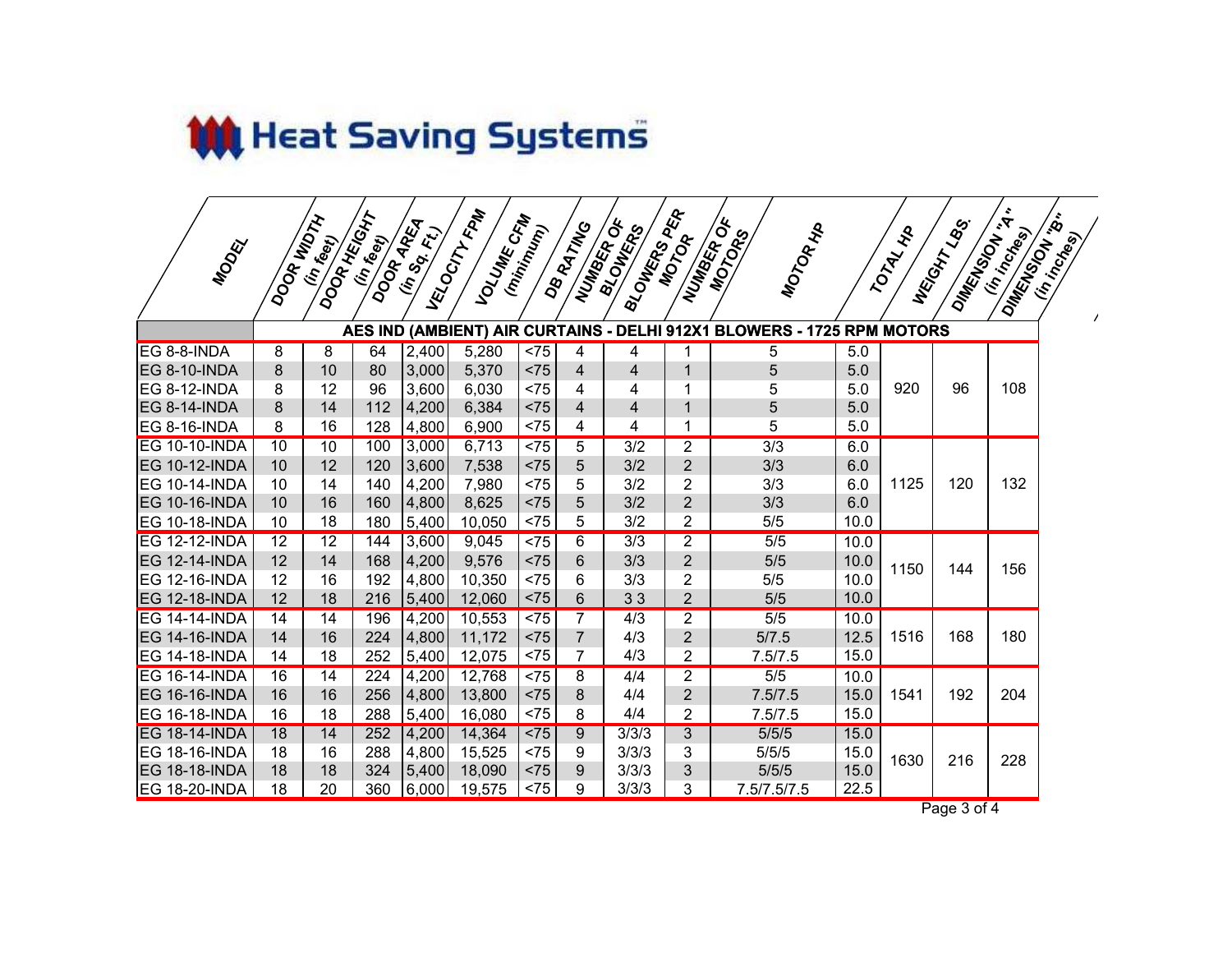

| MODEL                | DOOR WIDTH | DOOR HEIGHT<br>(in reet) | DOOR AREA<br>(in feet) | (in so Et.) | VELOCITY FIRM<br>VOLUME CFM | (minimum)      | DB RATING<br>NUMBER OF | 8LOWERS PER<br><b>BIOUNERDS</b> | NUMBER OF<br>MOTOR | MOTOR HP<br>MOTORS                                                     |      | TOTAL HIP | NEGOTITLESS<br>DIMENSON  | DIMENSION IS<br>(in inchesta<br>(in increase) |
|----------------------|------------|--------------------------|------------------------|-------------|-----------------------------|----------------|------------------------|---------------------------------|--------------------|------------------------------------------------------------------------|------|-----------|--------------------------|-----------------------------------------------|
|                      |            |                          |                        |             |                             |                |                        |                                 |                    | AES IND (AMBIENT) AIR CURTAINS - DELHI 912X1 BLOWERS - 1725 RPM MOTORS |      |           |                          |                                               |
| EG 8-8-INDA          | 8          | 8                        | 64                     | 2,400       | 5,280                       | $\overline{5}$ | 4                      | 4                               |                    | 5                                                                      | 5.0  |           |                          |                                               |
| <b>EG 8-10-INDA</b>  | 8          | 10                       | 80                     | 3,000       | 5,370                       | < 75           | $\overline{4}$         | $\overline{4}$                  | 1                  | 5                                                                      | 5.0  |           |                          |                                               |
| <b>EG 8-12-INDA</b>  | 8          | 12                       | 96                     | 3,600       | 6,030                       | < 75           | 4                      | 4                               | 1                  | 5                                                                      | 5.0  | 920       | 96                       | 108                                           |
| EG 8-14-INDA         | 8          | 14                       | 112                    | 4,200       | 6,384                       | < 75           | $\overline{4}$         | $\overline{4}$                  | 1                  | 5                                                                      | 5.0  |           |                          |                                               |
| <b>EG 8-16-INDA</b>  | 8          | 16                       | 128                    | 4,800       | 6,900                       | < 75           | 4                      | 4                               | 1                  | 5                                                                      | 5.0  |           |                          |                                               |
| <b>EG 10-10-INDA</b> | 10         | 10                       | 100                    | 3,000       | 6,713                       | < 75           | 5                      | 3/2                             | $\overline{2}$     | 3/3                                                                    | 6.0  |           |                          |                                               |
| <b>EG 10-12-INDA</b> | 10         | 12                       | 120                    | 3,600       | 7,538                       | < 75           | 5                      | 3/2                             | $\overline{2}$     | 3/3                                                                    | 6.0  |           | 120                      |                                               |
| <b>EG 10-14-INDA</b> | 10         | 14                       | 140                    | 4,200       | 7,980                       | < 75           | 5                      | 3/2                             | $\overline{2}$     | 3/3                                                                    | 6.0  | 1125      |                          | 132                                           |
| <b>EG 10-16-INDA</b> | 10         | 16                       | 160                    | 4,800       | 8,625                       | < 75           | 5                      | 3/2                             | $\overline{2}$     | 3/3                                                                    | 6.0  |           |                          |                                               |
| <b>EG 10-18-INDA</b> | 10         | 18                       | 180                    | 5,400       | 10,050                      | < 75           | 5                      | 3/2                             | $\overline{2}$     | 5/5                                                                    | 10.0 |           |                          |                                               |
| <b>EG 12-12-INDA</b> | 12         | 12                       | 144                    | 3,600       | 9,045                       | < 75           | 6                      | 3/3                             | $\overline{2}$     | $\overline{5/5}$                                                       | 10.0 |           |                          |                                               |
| <b>EG 12-14-INDA</b> | 12         | 14                       | 168                    | 4,200       | 9,576                       | < 75           | 6                      | 3/3                             | $\overline{2}$     | 5/5                                                                    | 10.0 | 1150      | 144                      | 156                                           |
| <b>EG 12-16-INDA</b> | 12         | 16                       | 192                    | 4,800       | 10,350                      | < 75           | 6                      | 3/3                             | $\overline{2}$     | 5/5                                                                    | 10.0 |           |                          |                                               |
| <b>EG 12-18-INDA</b> | 12         | 18                       | 216                    | 5,400       | 12,060                      | < 75           | 6                      | 33                              | $\overline{2}$     | 5/5                                                                    | 10.0 |           |                          |                                               |
| <b>EG 14-14-INDA</b> | 14         | 14                       | 196                    | 4,200       | 10,553                      | < 75           | $\overline{7}$         | 4/3                             | $\overline{2}$     | $\overline{5/5}$                                                       | 10.0 |           |                          |                                               |
| <b>EG 14-16-INDA</b> | 14         | 16                       | 224                    | 4,800       | 11,172                      | < 75           | $\overline{7}$         | 4/3                             | $\overline{2}$     | 5/7.5                                                                  | 12.5 | 1516      | 168                      | 180                                           |
| <b>EG 14-18-INDA</b> | 14         | 18                       | 252                    | 5,400       | 12,075                      | < 75           | $\overline{7}$         | 4/3                             | $\overline{2}$     | 7.5/7.5                                                                | 15.0 |           |                          |                                               |
| <b>EG 16-14-INDA</b> | 16         | 14                       | $\overline{224}$       | 4,200       | 12,768                      | $\overline{5}$ | 8                      | 4/4                             | $\overline{2}$     | 5/5                                                                    | 10.0 |           |                          |                                               |
| <b>EG 16-16-INDA</b> | 16         | 16                       | 256                    | 4,800       | 13,800                      | < 75           | 8                      | 4/4                             | $\overline{2}$     | 7.5/7.5                                                                | 15.0 | 1541      | 192                      | 204                                           |
| <b>EG 16-18-INDA</b> | 16         | 18                       | 288                    | 5,400       | 16,080                      | < 75           | 8                      | 4/4                             | $\overline{2}$     | 7.5/7.5                                                                | 15.0 |           |                          |                                               |
| <b>EG 18-14-INDA</b> | 18         | 14                       | 252                    | 4,200       | 14,364                      | < 75           | 9                      | 3/3/3                           | 3                  | 5/5/5                                                                  | 15.0 |           |                          |                                               |
| <b>EG 18-16-INDA</b> | 18         | 16                       | 288                    | 4,800       | 15,525                      | < 75           | 9                      | 3/3/3                           | 3                  | 5/5/5                                                                  | 15.0 | 1630      | 216                      | 228                                           |
| <b>EG 18-18-INDA</b> | 18         | 18                       | 324                    | 5,400       | 18,090                      | < 75           | 9                      | 3/3/3                           | 3                  | 5/5/5                                                                  | 15.0 |           |                          |                                               |
| <b>EG 18-20-INDA</b> | 18         | 20                       | 360                    | 6,000       | 19,575                      | < 75           | 9                      | 3/3/3                           | 3                  | 7.5/7.5/7.5                                                            | 22.5 | D.        | $\overline{\phantom{a}}$ |                                               |

Page 3 of 4